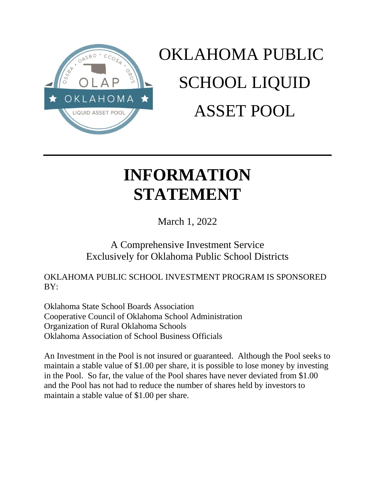

# OKLAHOMA PUBLIC SCHOOL LIQUID ASSET POOL

# **INFORMATION STATEMENT**

March 1, 2022

A Comprehensive Investment Service Exclusively for Oklahoma Public School Districts

OKLAHOMA PUBLIC SCHOOL INVESTMENT PROGRAM IS SPONSORED BY:

Oklahoma State School Boards Association Cooperative Council of Oklahoma School Administration Organization of Rural Oklahoma Schools Oklahoma Association of School Business Officials

An Investment in the Pool is not insured or guaranteed. Although the Pool seeks to maintain a stable value of \$1.00 per share, it is possible to lose money by investing in the Pool. So far, the value of the Pool shares have never deviated from \$1.00 and the Pool has not had to reduce the number of shares held by investors to maintain a stable value of \$1.00 per share.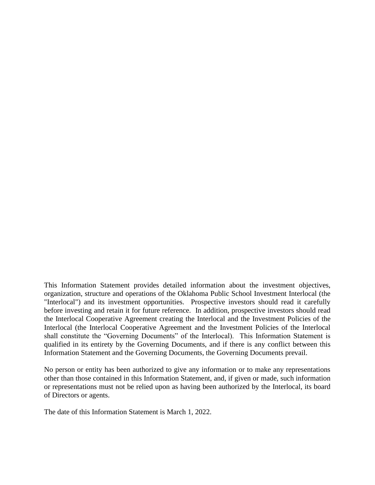This Information Statement provides detailed information about the investment objectives, organization, structure and operations of the Oklahoma Public School Investment Interlocal (the "Interlocal") and its investment opportunities. Prospective investors should read it carefully before investing and retain it for future reference. In addition, prospective investors should read the Interlocal Cooperative Agreement creating the Interlocal and the Investment Policies of the Interlocal (the Interlocal Cooperative Agreement and the Investment Policies of the Interlocal shall constitute the "Governing Documents" of the Interlocal). This Information Statement is qualified in its entirety by the Governing Documents, and if there is any conflict between this Information Statement and the Governing Documents, the Governing Documents prevail.

No person or entity has been authorized to give any information or to make any representations other than those contained in this Information Statement, and, if given or made, such information or representations must not be relied upon as having been authorized by the Interlocal, its board of Directors or agents.

The date of this Information Statement is March 1, 2022.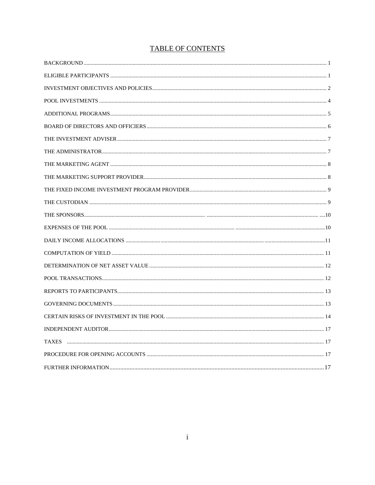## **TABLE OF CONTENTS**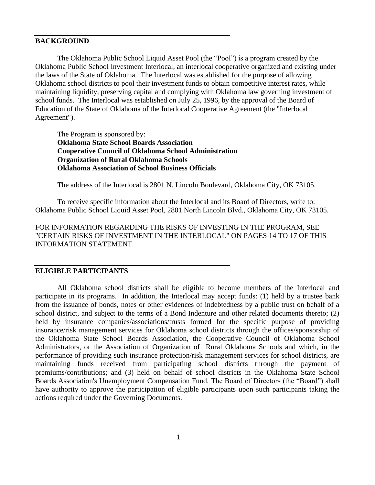#### **BACKGROUND**

The Oklahoma Public School Liquid Asset Pool (the "Pool") is a program created by the Oklahoma Public School Investment Interlocal, an interlocal cooperative organized and existing under the laws of the State of Oklahoma. The Interlocal was established for the purpose of allowing Oklahoma school districts to pool their investment funds to obtain competitive interest rates, while maintaining liquidity, preserving capital and complying with Oklahoma law governing investment of school funds. The Interlocal was established on July 25, 1996, by the approval of the Board of Education of the State of Oklahoma of the Interlocal Cooperative Agreement (the "Interlocal Agreement").

The Program is sponsored by: **Oklahoma State School Boards Association Cooperative Council of Oklahoma School Administration Organization of Rural Oklahoma Schools Oklahoma Association of School Business Officials**

The address of the Interlocal is 2801 N. Lincoln Boulevard, Oklahoma City, OK 73105.

To receive specific information about the Interlocal and its Board of Directors, write to: Oklahoma Public School Liquid Asset Pool, 2801 North Lincoln Blvd., Oklahoma City, OK 73105.

FOR INFORMATION REGARDING THE RISKS OF INVESTING IN THE PROGRAM, SEE "CERTAIN RISKS OF INVESTMENT IN THE INTERLOCAL" ON PAGES 14 TO 17 OF THIS INFORMATION STATEMENT.

#### **ELIGIBLE PARTICIPANTS**

All Oklahoma school districts shall be eligible to become members of the Interlocal and participate in its programs. In addition, the Interlocal may accept funds: (1) held by a trustee bank from the issuance of bonds, notes or other evidences of indebtedness by a public trust on behalf of a school district, and subject to the terms of a Bond Indenture and other related documents thereto; (2) held by insurance companies/associations/trusts formed for the specific purpose of providing insurance/risk management services for Oklahoma school districts through the offices/sponsorship of the Oklahoma State School Boards Association, the Cooperative Council of Oklahoma School Administrators, or the Association of Organization of Rural Oklahoma Schools and which, in the performance of providing such insurance protection/risk management services for school districts, are maintaining funds received from participating school districts through the payment of premiums/contributions; and (3) held on behalf of school districts in the Oklahoma State School Boards Association's Unemployment Compensation Fund. The Board of Directors (the "Board") shall have authority to approve the participation of eligible participants upon such participants taking the actions required under the Governing Documents.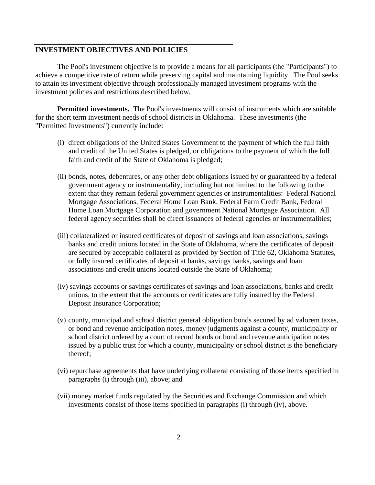#### **INVESTMENT OBJECTIVES AND POLICIES**

The Pool's investment objective is to provide a means for all participants (the "Participants") to achieve a competitive rate of return while preserving capital and maintaining liquidity. The Pool seeks to attain its investment objective through professionally managed investment programs with the investment policies and restrictions described below.

**Permitted investments.** The Pool's investments will consist of instruments which are suitable for the short term investment needs of school districts in Oklahoma. These investments (the "Permitted Investments") currently include:

- (i) direct obligations of the United States Government to the payment of which the full faith and credit of the United States is pledged, or obligations to the payment of which the full faith and credit of the State of Oklahoma is pledged;
- (ii) bonds, notes, debentures, or any other debt obligations issued by or guaranteed by a federal government agency or instrumentality, including but not limited to the following to the extent that they remain federal government agencies or instrumentalities: Federal National Mortgage Associations, Federal Home Loan Bank, Federal Farm Credit Bank, Federal Home Loan Mortgage Corporation and government National Mortgage Association. All federal agency securities shall be direct issuances of federal agencies or instrumentalities;
- (iii) collateralized or insured certificates of deposit of savings and loan associations, savings banks and credit unions located in the State of Oklahoma, where the certificates of deposit are secured by acceptable collateral as provided by Section of Title 62, Oklahoma Statutes, or fully insured certificates of deposit at banks, savings banks, savings and loan associations and credit unions located outside the State of Oklahoma;
- (iv) savings accounts or savings certificates of savings and loan associations, banks and credit unions, to the extent that the accounts or certificates are fully insured by the Federal Deposit Insurance Corporation;
- (v) county, municipal and school district general obligation bonds secured by ad valorem taxes, or bond and revenue anticipation notes, money judgments against a county, municipality or school district ordered by a court of record bonds or bond and revenue anticipation notes issued by a public trust for which a county, municipality or school district is the beneficiary thereof;
- (vi) repurchase agreements that have underlying collateral consisting of those items specified in paragraphs (i) through (iii), above; and
- (vii) money market funds regulated by the Securities and Exchange Commission and which investments consist of those items specified in paragraphs (i) through (iv), above.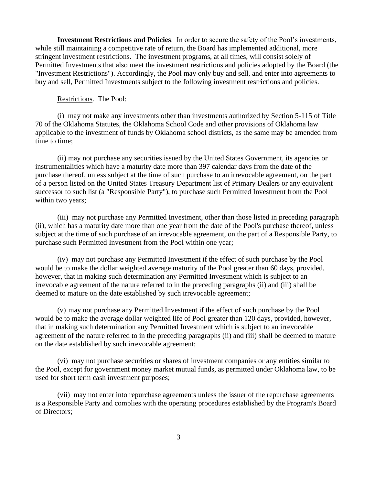**Investment Restrictions and Policies**. In order to secure the safety of the Pool's investments, while still maintaining a competitive rate of return, the Board has implemented additional, more stringent investment restrictions. The investment programs, at all times, will consist solely of Permitted Investments that also meet the investment restrictions and policies adopted by the Board (the "Investment Restrictions"). Accordingly, the Pool may only buy and sell, and enter into agreements to buy and sell, Permitted Investments subject to the following investment restrictions and policies.

Restrictions. The Pool:

(i) may not make any investments other than investments authorized by Section 5-115 of Title 70 of the Oklahoma Statutes, the Oklahoma School Code and other provisions of Oklahoma law applicable to the investment of funds by Oklahoma school districts, as the same may be amended from time to time;

(ii) may not purchase any securities issued by the United States Government, its agencies or instrumentalities which have a maturity date more than 397 calendar days from the date of the purchase thereof, unless subject at the time of such purchase to an irrevocable agreement, on the part of a person listed on the United States Treasury Department list of Primary Dealers or any equivalent successor to such list (a "Responsible Party"), to purchase such Permitted Investment from the Pool within two years;

(iii) may not purchase any Permitted Investment, other than those listed in preceding paragraph (ii), which has a maturity date more than one year from the date of the Pool's purchase thereof, unless subject at the time of such purchase of an irrevocable agreement, on the part of a Responsible Party, to purchase such Permitted Investment from the Pool within one year;

(iv) may not purchase any Permitted Investment if the effect of such purchase by the Pool would be to make the dollar weighted average maturity of the Pool greater than 60 days, provided, however, that in making such determination any Permitted Investment which is subject to an irrevocable agreement of the nature referred to in the preceding paragraphs (ii) and (iii) shall be deemed to mature on the date established by such irrevocable agreement;

(v) may not purchase any Permitted Investment if the effect of such purchase by the Pool would be to make the average dollar weighted life of Pool greater than 120 days, provided, however, that in making such determination any Permitted Investment which is subject to an irrevocable agreement of the nature referred to in the preceding paragraphs (ii) and (iii) shall be deemed to mature on the date established by such irrevocable agreement;

(vi) may not purchase securities or shares of investment companies or any entities similar to the Pool, except for government money market mutual funds, as permitted under Oklahoma law, to be used for short term cash investment purposes;

(vii) may not enter into repurchase agreements unless the issuer of the repurchase agreements is a Responsible Party and complies with the operating procedures established by the Program's Board of Directors;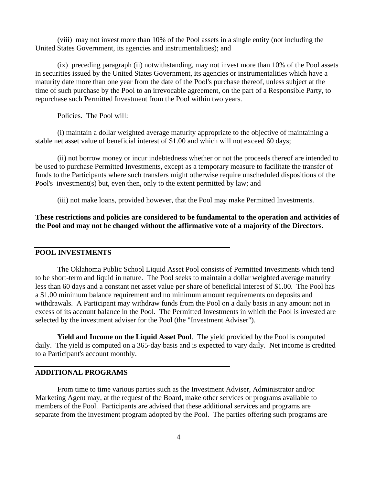(viii) may not invest more than 10% of the Pool assets in a single entity (not including the United States Government, its agencies and instrumentalities); and

(ix) preceding paragraph (ii) notwithstanding, may not invest more than 10% of the Pool assets in securities issued by the United States Government, its agencies or instrumentalities which have a maturity date more than one year from the date of the Pool's purchase thereof, unless subject at the time of such purchase by the Pool to an irrevocable agreement, on the part of a Responsible Party, to repurchase such Permitted Investment from the Pool within two years.

Policies. The Pool will:

(i) maintain a dollar weighted average maturity appropriate to the objective of maintaining a stable net asset value of beneficial interest of \$1.00 and which will not exceed 60 days;

(ii) not borrow money or incur indebtedness whether or not the proceeds thereof are intended to be used to purchase Permitted Investments, except as a temporary measure to facilitate the transfer of funds to the Participants where such transfers might otherwise require unscheduled dispositions of the Pool's investment(s) but, even then, only to the extent permitted by law; and

(iii) not make loans, provided however, that the Pool may make Permitted Investments.

**These restrictions and policies are considered to be fundamental to the operation and activities of the Pool and may not be changed without the affirmative vote of a majority of the Directors.**

#### **POOL INVESTMENTS**

The Oklahoma Public School Liquid Asset Pool consists of Permitted Investments which tend to be short-term and liquid in nature. The Pool seeks to maintain a dollar weighted average maturity less than 60 days and a constant net asset value per share of beneficial interest of \$1.00. The Pool has a \$1.00 minimum balance requirement and no minimum amount requirements on deposits and withdrawals. A Participant may withdraw funds from the Pool on a daily basis in any amount not in excess of its account balance in the Pool. The Permitted Investments in which the Pool is invested are selected by the investment adviser for the Pool (the "Investment Adviser").

**Yield and Income on the Liquid Asset Pool**. The yield provided by the Pool is computed daily. The yield is computed on a 365-day basis and is expected to vary daily. Net income is credited to a Participant's account monthly.

#### **ADDITIONAL PROGRAMS**

From time to time various parties such as the Investment Adviser, Administrator and/or Marketing Agent may, at the request of the Board, make other services or programs available to members of the Pool. Participants are advised that these additional services and programs are separate from the investment program adopted by the Pool. The parties offering such programs are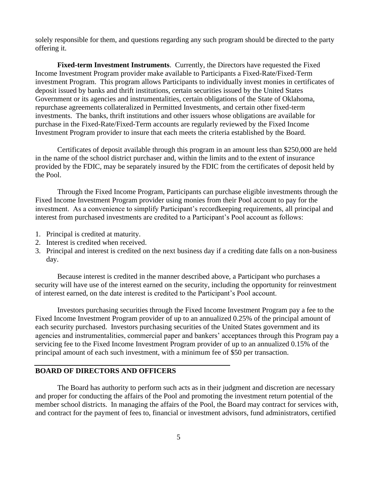solely responsible for them, and questions regarding any such program should be directed to the party offering it.

**Fixed-term Investment Instruments**. Currently, the Directors have requested the Fixed Income Investment Program provider make available to Participants a Fixed-Rate/Fixed-Term investment Program. This program allows Participants to individually invest monies in certificates of deposit issued by banks and thrift institutions, certain securities issued by the United States Government or its agencies and instrumentalities, certain obligations of the State of Oklahoma, repurchase agreements collateralized in Permitted Investments, and certain other fixed-term investments. The banks, thrift institutions and other issuers whose obligations are available for purchase in the Fixed-Rate/Fixed-Term accounts are regularly reviewed by the Fixed Income Investment Program provider to insure that each meets the criteria established by the Board.

Certificates of deposit available through this program in an amount less than \$250,000 are held in the name of the school district purchaser and, within the limits and to the extent of insurance provided by the FDIC, may be separately insured by the FDIC from the certificates of deposit held by the Pool.

Through the Fixed Income Program, Participants can purchase eligible investments through the Fixed Income Investment Program provider using monies from their Pool account to pay for the investment. As a convenience to simplify Participant's recordkeeping requirements, all principal and interest from purchased investments are credited to a Participant's Pool account as follows:

- 1. Principal is credited at maturity.
- 2. Interest is credited when received.
- 3. Principal and interest is credited on the next business day if a crediting date falls on a non-business day.

Because interest is credited in the manner described above, a Participant who purchases a security will have use of the interest earned on the security, including the opportunity for reinvestment of interest earned, on the date interest is credited to the Participant's Pool account.

Investors purchasing securities through the Fixed Income Investment Program pay a fee to the Fixed Income Investment Program provider of up to an annualized 0.25% of the principal amount of each security purchased. Investors purchasing securities of the United States government and its agencies and instrumentalities, commercial paper and bankers' acceptances through this Program pay a servicing fee to the Fixed Income Investment Program provider of up to an annualized 0.15% of the principal amount of each such investment, with a minimum fee of \$50 per transaction.

#### **BOARD OF DIRECTORS AND OFFICERS**

The Board has authority to perform such acts as in their judgment and discretion are necessary and proper for conducting the affairs of the Pool and promoting the investment return potential of the member school districts. In managing the affairs of the Pool, the Board may contract for services with, and contract for the payment of fees to, financial or investment advisors, fund administrators, certified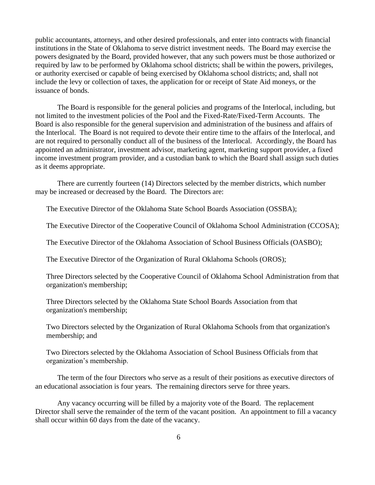public accountants, attorneys, and other desired professionals, and enter into contracts with financial institutions in the State of Oklahoma to serve district investment needs. The Board may exercise the powers designated by the Board, provided however, that any such powers must be those authorized or required by law to be performed by Oklahoma school districts; shall be within the powers, privileges, or authority exercised or capable of being exercised by Oklahoma school districts; and, shall not include the levy or collection of taxes, the application for or receipt of State Aid moneys, or the issuance of bonds.

The Board is responsible for the general policies and programs of the Interlocal, including, but not limited to the investment policies of the Pool and the Fixed-Rate/Fixed-Term Accounts. The Board is also responsible for the general supervision and administration of the business and affairs of the Interlocal. The Board is not required to devote their entire time to the affairs of the Interlocal, and are not required to personally conduct all of the business of the Interlocal. Accordingly, the Board has appointed an administrator, investment advisor, marketing agent, marketing support provider, a fixed income investment program provider, and a custodian bank to which the Board shall assign such duties as it deems appropriate.

There are currently fourteen (14) Directors selected by the member districts, which number may be increased or decreased by the Board. The Directors are:

The Executive Director of the Oklahoma State School Boards Association (OSSBA);

The Executive Director of the Cooperative Council of Oklahoma School Administration (CCOSA);

The Executive Director of the Oklahoma Association of School Business Officials (OASBO);

The Executive Director of the Organization of Rural Oklahoma Schools (OROS);

Three Directors selected by the Cooperative Council of Oklahoma School Administration from that organization's membership;

Three Directors selected by the Oklahoma State School Boards Association from that organization's membership;

Two Directors selected by the Organization of Rural Oklahoma Schools from that organization's membership; and

Two Directors selected by the Oklahoma Association of School Business Officials from that organization's membership.

The term of the four Directors who serve as a result of their positions as executive directors of an educational association is four years. The remaining directors serve for three years.

Any vacancy occurring will be filled by a majority vote of the Board. The replacement Director shall serve the remainder of the term of the vacant position. An appointment to fill a vacancy shall occur within 60 days from the date of the vacancy.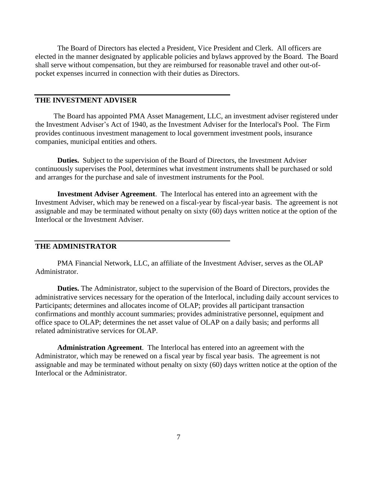The Board of Directors has elected a President, Vice President and Clerk. All officers are elected in the manner designated by applicable policies and bylaws approved by the Board. The Board shall serve without compensation, but they are reimbursed for reasonable travel and other out-ofpocket expenses incurred in connection with their duties as Directors.

#### **THE INVESTMENT ADVISER**

 The Board has appointed PMA Asset Management, LLC, an investment adviser registered under the Investment Adviser's Act of 1940, as the Investment Adviser for the Interlocal's Pool. The Firm provides continuous investment management to local government investment pools, insurance companies, municipal entities and others.

**Duties.** Subject to the supervision of the Board of Directors, the Investment Adviser continuously supervises the Pool, determines what investment instruments shall be purchased or sold and arranges for the purchase and sale of investment instruments for the Pool.

**Investment Adviser Agreement**. The Interlocal has entered into an agreement with the Investment Adviser, which may be renewed on a fiscal-year by fiscal-year basis. The agreement is not assignable and may be terminated without penalty on sixty (60) days written notice at the option of the Interlocal or the Investment Adviser.

#### **THE ADMINISTRATOR**

PMA Financial Network, LLC, an affiliate of the Investment Adviser, serves as the OLAP Administrator.

**Duties.** The Administrator, subject to the supervision of the Board of Directors, provides the administrative services necessary for the operation of the Interlocal, including daily account services to Participants; determines and allocates income of OLAP; provides all participant transaction confirmations and monthly account summaries; provides administrative personnel, equipment and office space to OLAP; determines the net asset value of OLAP on a daily basis; and performs all related administrative services for OLAP.

**Administration Agreement**. The Interlocal has entered into an agreement with the Administrator, which may be renewed on a fiscal year by fiscal year basis. The agreement is not assignable and may be terminated without penalty on sixty (60) days written notice at the option of the Interlocal or the Administrator.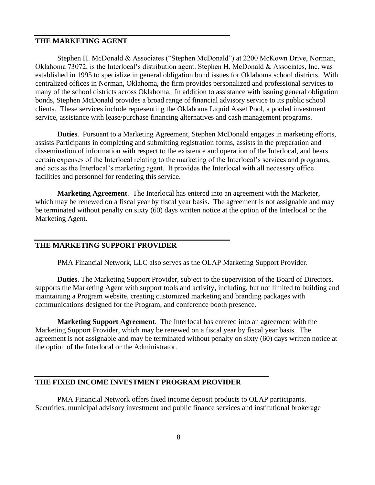#### **THE MARKETING AGENT**

Stephen H. McDonald & Associates ("Stephen McDonald") at 2200 McKown Drive, Norman, Oklahoma 73072, is the Interlocal's distribution agent. Stephen H. McDonald & Associates, Inc. was established in 1995 to specialize in general obligation bond issues for Oklahoma school districts. With centralized offices in Norman, Oklahoma, the firm provides personalized and professional services to many of the school districts across Oklahoma. In addition to assistance with issuing general obligation bonds, Stephen McDonald provides a broad range of financial advisory service to its public school clients. These services include representing the Oklahoma Liquid Asset Pool, a pooled investment service, assistance with lease/purchase financing alternatives and cash management programs.

**Duties**. Pursuant to a Marketing Agreement, Stephen McDonald engages in marketing efforts, assists Participants in completing and submitting registration forms, assists in the preparation and dissemination of information with respect to the existence and operation of the Interlocal, and bears certain expenses of the Interlocal relating to the marketing of the Interlocal's services and programs, and acts as the Interlocal's marketing agent. It provides the Interlocal with all necessary office facilities and personnel for rendering this service.

**Marketing Agreement**. The Interlocal has entered into an agreement with the Marketer, which may be renewed on a fiscal year by fiscal year basis. The agreement is not assignable and may be terminated without penalty on sixty (60) days written notice at the option of the Interlocal or the Marketing Agent.

#### **THE MARKETING SUPPORT PROVIDER**

PMA Financial Network, LLC also serves as the OLAP Marketing Support Provider.

**Duties.** The Marketing Support Provider, subject to the supervision of the Board of Directors, supports the Marketing Agent with support tools and activity, including, but not limited to building and maintaining a Program website, creating customized marketing and branding packages with communications designed for the Program, and conference booth presence.

**Marketing Support Agreement**. The Interlocal has entered into an agreement with the Marketing Support Provider, which may be renewed on a fiscal year by fiscal year basis. The agreement is not assignable and may be terminated without penalty on sixty (60) days written notice at the option of the Interlocal or the Administrator.

#### **THE FIXED INCOME INVESTMENT PROGRAM PROVIDER**

PMA Financial Network offers fixed income deposit products to OLAP participants. Securities, municipal advisory investment and public finance services and institutional brokerage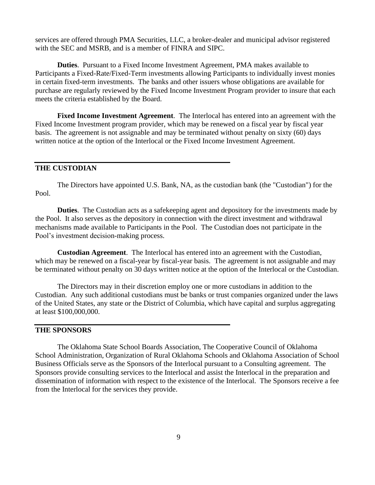services are offered through PMA Securities, LLC, a broker-dealer and municipal advisor registered with the SEC and MSRB, and is a member of FINRA and SIPC.

**Duties**. Pursuant to a Fixed Income Investment Agreement, PMA makes available to Participants a Fixed-Rate/Fixed-Term investments allowing Participants to individually invest monies in certain fixed-term investments. The banks and other issuers whose obligations are available for purchase are regularly reviewed by the Fixed Income Investment Program provider to insure that each meets the criteria established by the Board.

**Fixed Income Investment Agreement**. The Interlocal has entered into an agreement with the Fixed Income Investment program provider, which may be renewed on a fiscal year by fiscal year basis. The agreement is not assignable and may be terminated without penalty on sixty (60) days written notice at the option of the Interlocal or the Fixed Income Investment Agreement.

#### **THE CUSTODIAN**

The Directors have appointed U.S. Bank, NA, as the custodian bank (the "Custodian") for the Pool.

**Duties**. The Custodian acts as a safekeeping agent and depository for the investments made by the Pool. It also serves as the depository in connection with the direct investment and withdrawal mechanisms made available to Participants in the Pool. The Custodian does not participate in the Pool's investment decision-making process.

**Custodian Agreement**. The Interlocal has entered into an agreement with the Custodian, which may be renewed on a fiscal-year by fiscal-year basis. The agreement is not assignable and may be terminated without penalty on 30 days written notice at the option of the Interlocal or the Custodian.

The Directors may in their discretion employ one or more custodians in addition to the Custodian. Any such additional custodians must be banks or trust companies organized under the laws of the United States, any state or the District of Columbia, which have capital and surplus aggregating at least \$100,000,000.

#### **THE SPONSORS**

The Oklahoma State School Boards Association, The Cooperative Council of Oklahoma School Administration, Organization of Rural Oklahoma Schools and Oklahoma Association of School Business Officials serve as the Sponsors of the Interlocal pursuant to a Consulting agreement. The Sponsors provide consulting services to the Interlocal and assist the Interlocal in the preparation and dissemination of information with respect to the existence of the Interlocal. The Sponsors receive a fee from the Interlocal for the services they provide.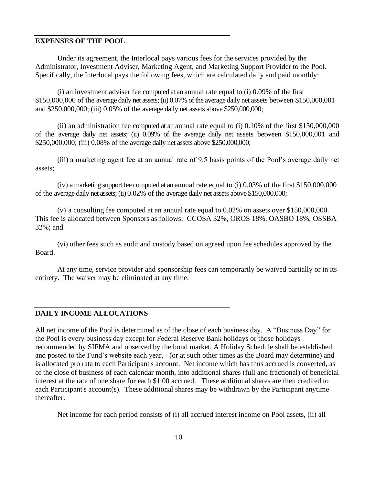#### **EXPENSES OF THE POOL**

Under its agreement, the Interlocal pays various fees for the services provided by the Administrator, Investment Adviser, Marketing Agent, and Marketing Support Provider to the Pool. Specifically, the Interlocal pays the following fees, which are calculated daily and paid monthly:

(i) an investment adviser fee computed at an annual rate equal to (i) 0.09% of the first \$150,000,000 of the average daily net assets; (ii) 0.07% of the average daily net assets between \$150,000,001 and \$250,000,000; (iii) 0.05% of the average daily net assets above \$250,000,000;

(ii) an administration fee computed at an annual rate equal to (i) 0.10% of the first \$150,000,000 of the average daily net assets; (ii) 0.09% of the average daily net assets between \$150,000,001 and \$250,000,000; (iii) 0.08% of the average daily net assets above \$250,000,000;

(iii) a marketing agent fee at an annual rate of 9.5 basis points of the Pool's average daily net assets;

(iv) a marketing support fee computed at an annual rate equal to (i) 0.03% of the first \$150,000,000 of the average daily net assets; (ii) 0.02% of the average daily net assets above \$150,000,000;

(v) a consulting fee computed at an annual rate equal to 0.02% on assets over \$150,000,000. This fee is allocated between Sponsors as follows: CCOSA 32%, OROS 18%, OASBO 18%, OSSBA 32%; and

(vi) other fees such as audit and custody based on agreed upon fee schedules approved by the Board.

At any time, service provider and sponsorship fees can temporarily be waived partially or in its entirety. The waiver may be eliminated at any time.

#### **DAILY INCOME ALLOCATIONS**

All net income of the Pool is determined as of the close of each business day. A "Business Day" for the Pool is every business day except for Federal Reserve Bank holidays or those holidays recommended by SIFMA and observed by the bond market. A Holiday Schedule shall be established and posted to the Fund's website each year, - (or at such other times as the Board may determine) and is allocated pro rata to each Participant's account. Net income which has thus accrued is converted, as of the close of business of each calendar month, into additional shares (full and fractional) of beneficial interest at the rate of one share for each \$1.00 accrued. These additional shares are then credited to each Participant's account(s). These additional shares may be withdrawn by the Participant anytime thereafter.

Net income for each period consists of (i) all accrued interest income on Pool assets, (ii) all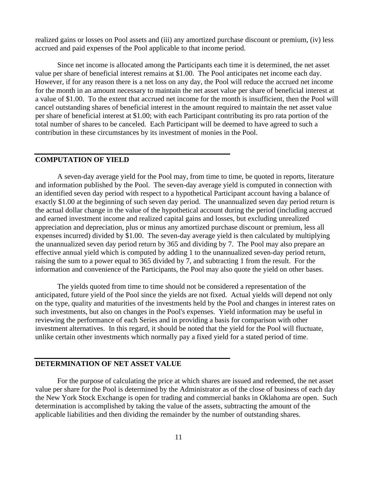realized gains or losses on Pool assets and (iii) any amortized purchase discount or premium, (iv) less accrued and paid expenses of the Pool applicable to that income period.

Since net income is allocated among the Participants each time it is determined, the net asset value per share of beneficial interest remains at \$1.00. The Pool anticipates net income each day. However, if for any reason there is a net loss on any day, the Pool will reduce the accrued net income for the month in an amount necessary to maintain the net asset value per share of beneficial interest at a value of \$1.00. To the extent that accrued net income for the month is insufficient, then the Pool will cancel outstanding shares of beneficial interest in the amount required to maintain the net asset value per share of beneficial interest at \$1.00; with each Participant contributing its pro rata portion of the total number of shares to be canceled. Each Participant will be deemed to have agreed to such a contribution in these circumstances by its investment of monies in the Pool.

#### **COMPUTATION OF YIELD**

A seven-day average yield for the Pool may, from time to time, be quoted in reports, literature and information published by the Pool. The seven-day average yield is computed in connection with an identified seven day period with respect to a hypothetical Participant account having a balance of exactly \$1.00 at the beginning of such seven day period. The unannualized seven day period return is the actual dollar change in the value of the hypothetical account during the period (including accrued and earned investment income and realized capital gains and losses, but excluding unrealized appreciation and depreciation, plus or minus any amortized purchase discount or premium, less all expenses incurred) divided by \$1.00. The seven-day average yield is then calculated by multiplying the unannualized seven day period return by 365 and dividing by 7. The Pool may also prepare an effective annual yield which is computed by adding 1 to the unannualized seven-day period return, raising the sum to a power equal to 365 divided by 7, and subtracting 1 from the result. For the information and convenience of the Participants, the Pool may also quote the yield on other bases.

The yields quoted from time to time should not be considered a representation of the anticipated, future yield of the Pool since the yields are not fixed. Actual yields will depend not only on the type, quality and maturities of the investments held by the Pool and changes in interest rates on such investments, but also on changes in the Pool's expenses. Yield information may be useful in reviewing the performance of each Series and in providing a basis for comparison with other investment alternatives. In this regard, it should be noted that the yield for the Pool will fluctuate, unlike certain other investments which normally pay a fixed yield for a stated period of time.

#### **DETERMINATION OF NET ASSET VALUE**

For the purpose of calculating the price at which shares are issued and redeemed, the net asset value per share for the Pool is determined by the Administrator as of the close of business of each day the New York Stock Exchange is open for trading and commercial banks in Oklahoma are open. Such determination is accomplished by taking the value of the assets, subtracting the amount of the applicable liabilities and then dividing the remainder by the number of outstanding shares.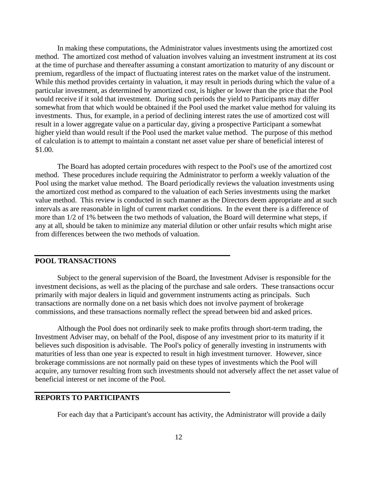In making these computations, the Administrator values investments using the amortized cost method. The amortized cost method of valuation involves valuing an investment instrument at its cost at the time of purchase and thereafter assuming a constant amortization to maturity of any discount or premium, regardless of the impact of fluctuating interest rates on the market value of the instrument. While this method provides certainty in valuation, it may result in periods during which the value of a particular investment, as determined by amortized cost, is higher or lower than the price that the Pool would receive if it sold that investment. During such periods the yield to Participants may differ somewhat from that which would be obtained if the Pool used the market value method for valuing its investments. Thus, for example, in a period of declining interest rates the use of amortized cost will result in a lower aggregate value on a particular day, giving a prospective Participant a somewhat higher yield than would result if the Pool used the market value method. The purpose of this method of calculation is to attempt to maintain a constant net asset value per share of beneficial interest of \$1.00.

The Board has adopted certain procedures with respect to the Pool's use of the amortized cost method. These procedures include requiring the Administrator to perform a weekly valuation of the Pool using the market value method. The Board periodically reviews the valuation investments using the amortized cost method as compared to the valuation of each Series investments using the market value method. This review is conducted in such manner as the Directors deem appropriate and at such intervals as are reasonable in light of current market conditions. In the event there is a difference of more than 1/2 of 1% between the two methods of valuation, the Board will determine what steps, if any at all, should be taken to minimize any material dilution or other unfair results which might arise from differences between the two methods of valuation.

#### **POOL TRANSACTIONS**

Subject to the general supervision of the Board, the Investment Adviser is responsible for the investment decisions, as well as the placing of the purchase and sale orders. These transactions occur primarily with major dealers in liquid and government instruments acting as principals. Such transactions are normally done on a net basis which does not involve payment of brokerage commissions, and these transactions normally reflect the spread between bid and asked prices.

Although the Pool does not ordinarily seek to make profits through short-term trading, the Investment Adviser may, on behalf of the Pool, dispose of any investment prior to its maturity if it believes such disposition is advisable. The Pool's policy of generally investing in instruments with maturities of less than one year is expected to result in high investment turnover. However, since brokerage commissions are not normally paid on these types of investments which the Pool will acquire, any turnover resulting from such investments should not adversely affect the net asset value of beneficial interest or net income of the Pool.

#### **REPORTS TO PARTICIPANTS**

For each day that a Participant's account has activity, the Administrator will provide a daily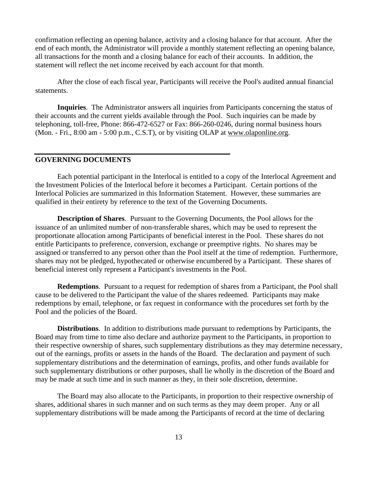confirmation reflecting an opening balance, activity and a closing balance for that account. After the end of each month, the Administrator will provide a monthly statement reflecting an opening balance, all transactions for the month and a closing balance for each of their accounts. In addition, the statement will reflect the net income received by each account for that month.

After the close of each fiscal year, Participants will receive the Pool's audited annual financial statements.

**Inquiries**. The Administrator answers all inquiries from Participants concerning the status of their accounts and the current yields available through the Pool. Such inquiries can be made by telephoning, toll-free, Phone: 866-472-6527 or Fax: 866-260-0246, during normal business hours (Mon. - Fri., 8:00 am - 5:00 p.m., C.S.T), or by visiting OLAP at www.olaponline.org.

#### **GOVERNING DOCUMENTS**

Each potential participant in the Interlocal is entitled to a copy of the Interlocal Agreement and the Investment Policies of the Interlocal before it becomes a Participant. Certain portions of the Interlocal Policies are summarized in this Information Statement. However, these summaries are qualified in their entirety by reference to the text of the Governing Documents.

**Description of Shares**. Pursuant to the Governing Documents, the Pool allows for the issuance of an unlimited number of non-transferable shares, which may be used to represent the proportionate allocation among Participants of beneficial interest in the Pool. These shares do not entitle Participants to preference, conversion, exchange or preemptive rights. No shares may be assigned or transferred to any person other than the Pool itself at the time of redemption. Furthermore, shares may not be pledged, hypothecated or otherwise encumbered by a Participant. These shares of beneficial interest only represent a Participant's investments in the Pool.

**Redemptions**. Pursuant to a request for redemption of shares from a Participant, the Pool shall cause to be delivered to the Participant the value of the shares redeemed. Participants may make redemptions by email, telephone, or fax request in conformance with the procedures set forth by the Pool and the policies of the Board.

**Distributions**. In addition to distributions made pursuant to redemptions by Participants, the Board may from time to time also declare and authorize payment to the Participants, in proportion to their respective ownership of shares, such supplementary distributions as they may determine necessary, out of the earnings, profits or assets in the hands of the Board. The declaration and payment of such supplementary distributions and the determination of earnings, profits, and other funds available for such supplementary distributions or other purposes, shall lie wholly in the discretion of the Board and may be made at such time and in such manner as they, in their sole discretion, determine.

The Board may also allocate to the Participants, in proportion to their respective ownership of shares, additional shares in such manner and on such terms as they may deem proper. Any or all supplementary distributions will be made among the Participants of record at the time of declaring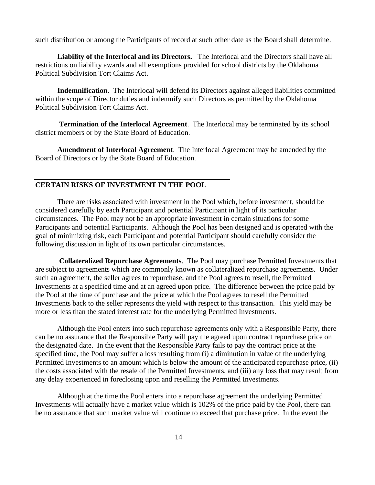such distribution or among the Participants of record at such other date as the Board shall determine.

**Liability of the Interlocal and its Directors.** The Interlocal and the Directors shall have all restrictions on liability awards and all exemptions provided for school districts by the Oklahoma Political Subdivision Tort Claims Act.

**Indemnification**. The Interlocal will defend its Directors against alleged liabilities committed within the scope of Director duties and indemnify such Directors as permitted by the Oklahoma Political Subdivision Tort Claims Act.

**Termination of the Interlocal Agreement**. The Interlocal may be terminated by its school district members or by the State Board of Education.

**Amendment of Interlocal Agreement**. The Interlocal Agreement may be amended by the Board of Directors or by the State Board of Education.

#### **CERTAIN RISKS OF INVESTMENT IN THE POOL**

There are risks associated with investment in the Pool which, before investment, should be considered carefully by each Participant and potential Participant in light of its particular circumstances. The Pool may not be an appropriate investment in certain situations for some Participants and potential Participants. Although the Pool has been designed and is operated with the goal of minimizing risk, each Participant and potential Participant should carefully consider the following discussion in light of its own particular circumstances.

**Collateralized Repurchase Agreements**. The Pool may purchase Permitted Investments that are subject to agreements which are commonly known as collateralized repurchase agreements. Under such an agreement, the seller agrees to repurchase, and the Pool agrees to resell, the Permitted Investments at a specified time and at an agreed upon price. The difference between the price paid by the Pool at the time of purchase and the price at which the Pool agrees to resell the Permitted Investments back to the seller represents the yield with respect to this transaction. This yield may be more or less than the stated interest rate for the underlying Permitted Investments.

Although the Pool enters into such repurchase agreements only with a Responsible Party, there can be no assurance that the Responsible Party will pay the agreed upon contract repurchase price on the designated date. In the event that the Responsible Party fails to pay the contract price at the specified time, the Pool may suffer a loss resulting from (i) a diminution in value of the underlying Permitted Investments to an amount which is below the amount of the anticipated repurchase price, (ii) the costs associated with the resale of the Permitted Investments, and (iii) any loss that may result from any delay experienced in foreclosing upon and reselling the Permitted Investments.

Although at the time the Pool enters into a repurchase agreement the underlying Permitted Investments will actually have a market value which is 102% of the price paid by the Pool, there can be no assurance that such market value will continue to exceed that purchase price. In the event the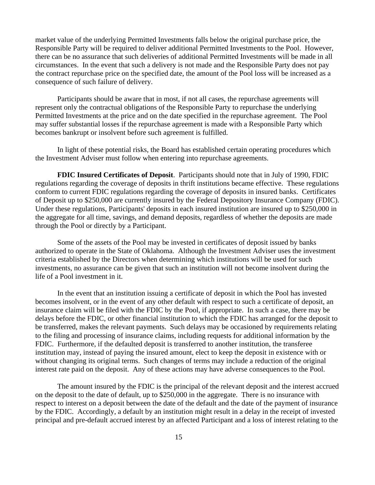market value of the underlying Permitted Investments falls below the original purchase price, the Responsible Party will be required to deliver additional Permitted Investments to the Pool. However, there can be no assurance that such deliveries of additional Permitted Investments will be made in all circumstances. In the event that such a delivery is not made and the Responsible Party does not pay the contract repurchase price on the specified date, the amount of the Pool loss will be increased as a consequence of such failure of delivery.

Participants should be aware that in most, if not all cases, the repurchase agreements will represent only the contractual obligations of the Responsible Party to repurchase the underlying Permitted Investments at the price and on the date specified in the repurchase agreement. The Pool may suffer substantial losses if the repurchase agreement is made with a Responsible Party which becomes bankrupt or insolvent before such agreement is fulfilled.

In light of these potential risks, the Board has established certain operating procedures which the Investment Adviser must follow when entering into repurchase agreements.

**FDIC Insured Certificates of Deposit**. Participants should note that in July of 1990, FDIC regulations regarding the coverage of deposits in thrift institutions became effective. These regulations conform to current FDIC regulations regarding the coverage of deposits in insured banks. Certificates of Deposit up to \$250,000 are currently insured by the Federal Depository Insurance Company (FDIC). Under these regulations, Participants' deposits in each insured institution are insured up to \$250,000 in the aggregate for all time, savings, and demand deposits, regardless of whether the deposits are made through the Pool or directly by a Participant.

Some of the assets of the Pool may be invested in certificates of deposit issued by banks authorized to operate in the State of Oklahoma. Although the Investment Adviser uses the investment criteria established by the Directors when determining which institutions will be used for such investments, no assurance can be given that such an institution will not become insolvent during the life of a Pool investment in it.

In the event that an institution issuing a certificate of deposit in which the Pool has invested becomes insolvent, or in the event of any other default with respect to such a certificate of deposit, an insurance claim will be filed with the FDIC by the Pool, if appropriate. In such a case, there may be delays before the FDIC, or other financial institution to which the FDIC has arranged for the deposit to be transferred, makes the relevant payments. Such delays may be occasioned by requirements relating to the filing and processing of insurance claims, including requests for additional information by the FDIC. Furthermore, if the defaulted deposit is transferred to another institution, the transferee institution may, instead of paying the insured amount, elect to keep the deposit in existence with or without changing its original terms. Such changes of terms may include a reduction of the original interest rate paid on the deposit. Any of these actions may have adverse consequences to the Pool.

The amount insured by the FDIC is the principal of the relevant deposit and the interest accrued on the deposit to the date of default, up to \$250,000 in the aggregate. There is no insurance with respect to interest on a deposit between the date of the default and the date of the payment of insurance by the FDIC. Accordingly, a default by an institution might result in a delay in the receipt of invested principal and pre-default accrued interest by an affected Participant and a loss of interest relating to the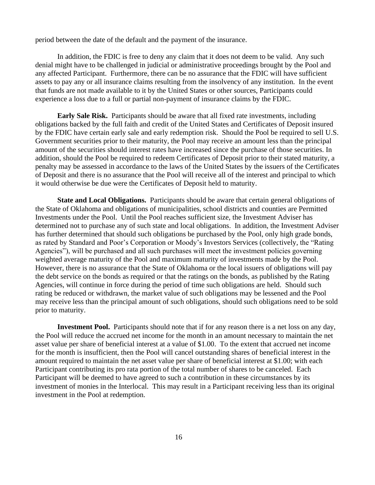period between the date of the default and the payment of the insurance.

In addition, the FDIC is free to deny any claim that it does not deem to be valid. Any such denial might have to be challenged in judicial or administrative proceedings brought by the Pool and any affected Participant. Furthermore, there can be no assurance that the FDIC will have sufficient assets to pay any or all insurance claims resulting from the insolvency of any institution. In the event that funds are not made available to it by the United States or other sources, Participants could experience a loss due to a full or partial non-payment of insurance claims by the FDIC.

**Early Sale Risk.** Participants should be aware that all fixed rate investments, including obligations backed by the full faith and credit of the United States and Certificates of Deposit insured by the FDIC have certain early sale and early redemption risk. Should the Pool be required to sell U.S. Government securities prior to their maturity, the Pool may receive an amount less than the principal amount of the securities should interest rates have increased since the purchase of those securities. In addition, should the Pool be required to redeem Certificates of Deposit prior to their stated maturity, a penalty may be assessed in accordance to the laws of the United States by the issuers of the Certificates of Deposit and there is no assurance that the Pool will receive all of the interest and principal to which it would otherwise be due were the Certificates of Deposit held to maturity.

**State and Local Obligations.** Participants should be aware that certain general obligations of the State of Oklahoma and obligations of municipalities, school districts and counties are Permitted Investments under the Pool. Until the Pool reaches sufficient size, the Investment Adviser has determined not to purchase any of such state and local obligations. In addition, the Investment Adviser has further determined that should such obligations be purchased by the Pool, only high grade bonds, as rated by Standard and Poor's Corporation or Moody's Investors Services (collectively, the "Rating Agencies"), will be purchased and all such purchases will meet the investment policies governing weighted average maturity of the Pool and maximum maturity of investments made by the Pool. However, there is no assurance that the State of Oklahoma or the local issuers of obligations will pay the debt service on the bonds as required or that the ratings on the bonds, as published by the Rating Agencies, will continue in force during the period of time such obligations are held. Should such rating be reduced or withdrawn, the market value of such obligations may be lessened and the Pool may receive less than the principal amount of such obligations, should such obligations need to be sold prior to maturity.

**Investment Pool.** Participants should note that if for any reason there is a net loss on any day, the Pool will reduce the accrued net income for the month in an amount necessary to maintain the net asset value per share of beneficial interest at a value of \$1.00. To the extent that accrued net income for the month is insufficient, then the Pool will cancel outstanding shares of beneficial interest in the amount required to maintain the net asset value per share of beneficial interest at \$1.00; with each Participant contributing its pro rata portion of the total number of shares to be canceled. Each Participant will be deemed to have agreed to such a contribution in these circumstances by its investment of monies in the Interlocal. This may result in a Participant receiving less than its original investment in the Pool at redemption.